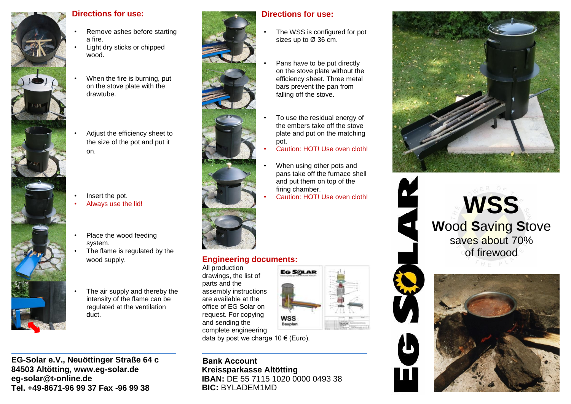

#### **Directions for use:**

- Remove ashes before starting a fire.
- Light dry sticks or chipped wood.
- When the fire is burning, put on the stove plate with the drawtube.
- Adjust the efficiency sheet to the size of the pot and put it on.
- Insert the pot.
- Always use the lid!
- Place the wood feeding system.
- The flame is regulated by the wood supply.
- The air supply and thereby the intensity of the flame can be regulated at the ventilation duct.

**EG-Solar e.V., Neuöttinger Straße 64 c 84503 Altötting, www.eg-solar.de eg-solar@t-online.de Tel. +49-8671-96 99 37 Fax -96 99 38**



# the embers take off the stove plate and put on the matching Caution: HOT! Use oven cloth! When using other pots and

**Directions for use:**

- pans take off the furnace shell and put them on top of the firing chamber.
- Caution: HOT! Use oven cloth!

# **Engineering documents:**

All production drawings, the list of parts and the assembly instructions are available at the office of EG Solar on request. For copying and sending the complete engineering data by post we charge 10  $\epsilon$  (Euro).



**Bank Account Kreissparkasse Altötting IBAN: DE 55 7115 1020 0000 0493 38 BIC:** BYLADEM1MD